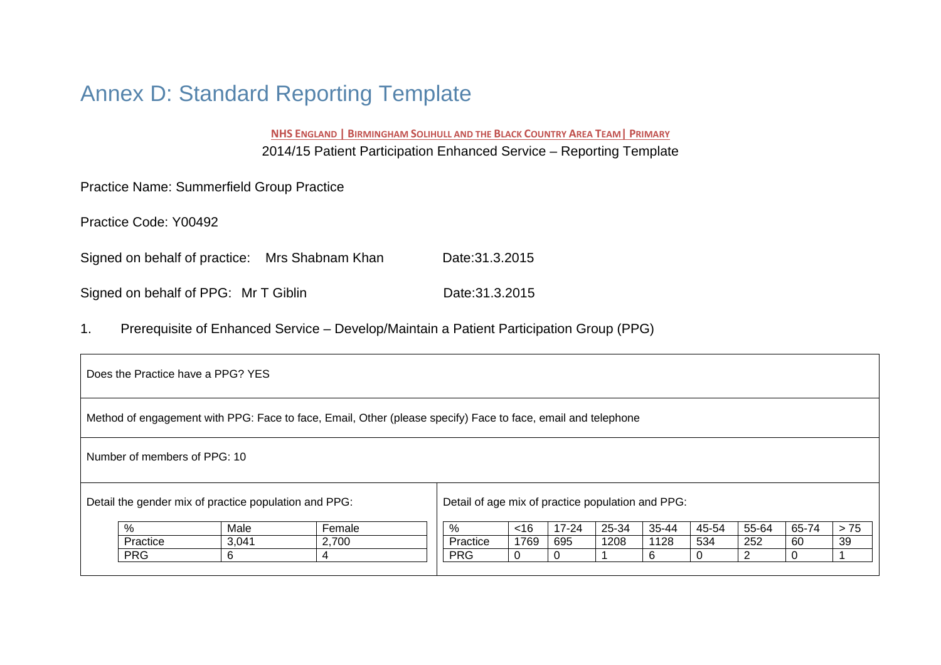# Annex D: Standard Reporting Template

**NHS ENGLAND | BIRMINGHAM SOLIHULL AND THE BLACK COUNTRY AREA TEAM| PRIMARY** 2014/15 Patient Participation Enhanced Service – Reporting Template

Practice Name: Summerfield Group Practice

Practice Code: Y00492

Signed on behalf of practice: Mrs Shabnam Khan Date:31.3.2015

Signed on behalf of PPG: Mr T Giblin Date:31.3.2015

1. Prerequisite of Enhanced Service – Develop/Maintain a Patient Participation Group (PPG)

| Does the Practice have a PPG? YES                                                                            |            |       |       |            |      |          |      |      |     |                |    |    |
|--------------------------------------------------------------------------------------------------------------|------------|-------|-------|------------|------|----------|------|------|-----|----------------|----|----|
| Method of engagement with PPG: Face to face, Email, Other (please specify) Face to face, email and telephone |            |       |       |            |      |          |      |      |     |                |    |    |
| Number of members of PPG: 10                                                                                 |            |       |       |            |      |          |      |      |     |                |    |    |
| Detail the gender mix of practice population and PPG:<br>Detail of age mix of practice population and PPG:   |            |       |       |            |      |          |      |      |     |                |    |    |
| %<br>55-64<br>> 75<br>Female<br>$17 - 24$<br>25-34<br>35-44<br>45-54<br>65-74<br>Male<br><16<br>%            |            |       |       |            |      |          |      |      |     |                |    |    |
|                                                                                                              | Practice   | 3,041 | 2,700 | Practice   | 1769 | 695      | 1208 | 1128 | 534 | 252            | 60 | 39 |
|                                                                                                              | <b>PRG</b> | 6     | 4     | <b>PRG</b> |      | $\Omega$ |      | 6    |     | $\overline{2}$ | 0  |    |
|                                                                                                              |            |       |       |            |      |          |      |      |     |                |    |    |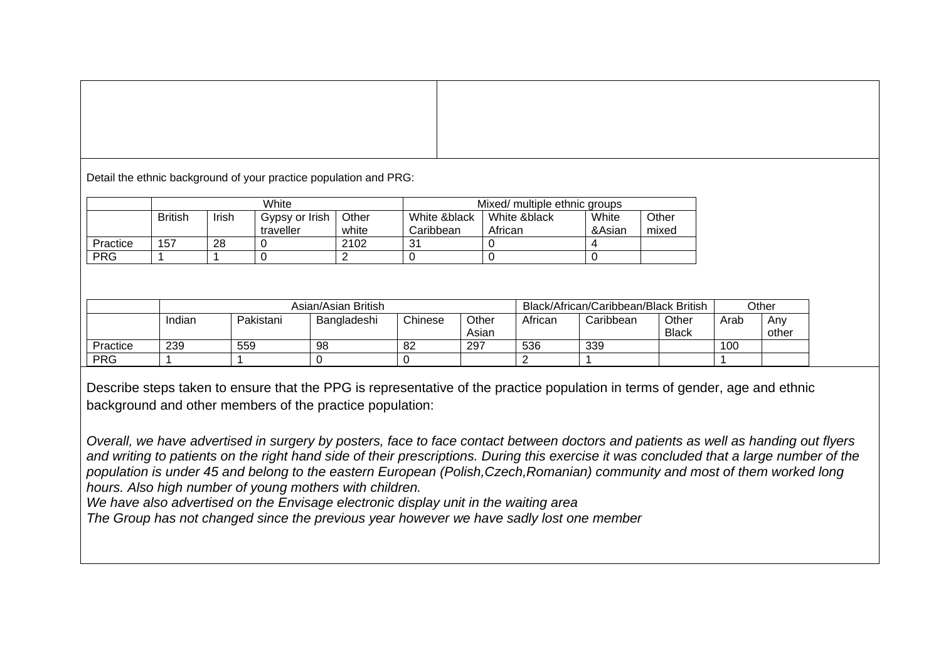Detail the ethnic background of your practice population and PRG:

|            |                |       | White          |       | Mixed/ multiple ethnic groups |              |        |       |  |  |
|------------|----------------|-------|----------------|-------|-------------------------------|--------------|--------|-------|--|--|
|            | <b>British</b> | Irish | Gypsy or Irish | Other | White &black                  | White &black | White  | Other |  |  |
|            |                |       | traveller      | white | Caribbean                     | African      | &Asian | mixed |  |  |
| Practice   | 157            | 28    |                | 2102  | 31                            |              |        |       |  |  |
| <b>PRG</b> |                |       |                |       |                               |              |        |       |  |  |

|            | Asian/Asian British |           |             |         |                |         | Black/African/Caribbean/Black British |                       |      |              |
|------------|---------------------|-----------|-------------|---------|----------------|---------|---------------------------------------|-----------------------|------|--------------|
|            | Indian              | Pakistani | Bangladeshi | Chinese | Other<br>Asian | African | Caribbean                             | Other<br><b>Black</b> | Arab | Any<br>other |
| Practice   | 239                 | 559       | 98          | 82      | 297            | 536     | 339                                   |                       | 100  |              |
| <b>PRG</b> |                     |           |             |         |                |         |                                       |                       |      |              |

Describe steps taken to ensure that the PPG is representative of the practice population in terms of gender, age and ethnic background and other members of the practice population:

*Overall, we have advertised in surgery by posters, face to face contact between doctors and patients as well as handing out flyers and writing to patients on the right hand side of their prescriptions. During this exercise it was concluded that a large number of the population is under 45 and belong to the eastern European (Polish,Czech,Romanian) community and most of them worked long hours. Also high number of young mothers with children.* 

*We have also advertised on the Envisage electronic display unit in the waiting area* 

*The Group has not changed since the previous year however we have sadly lost one member*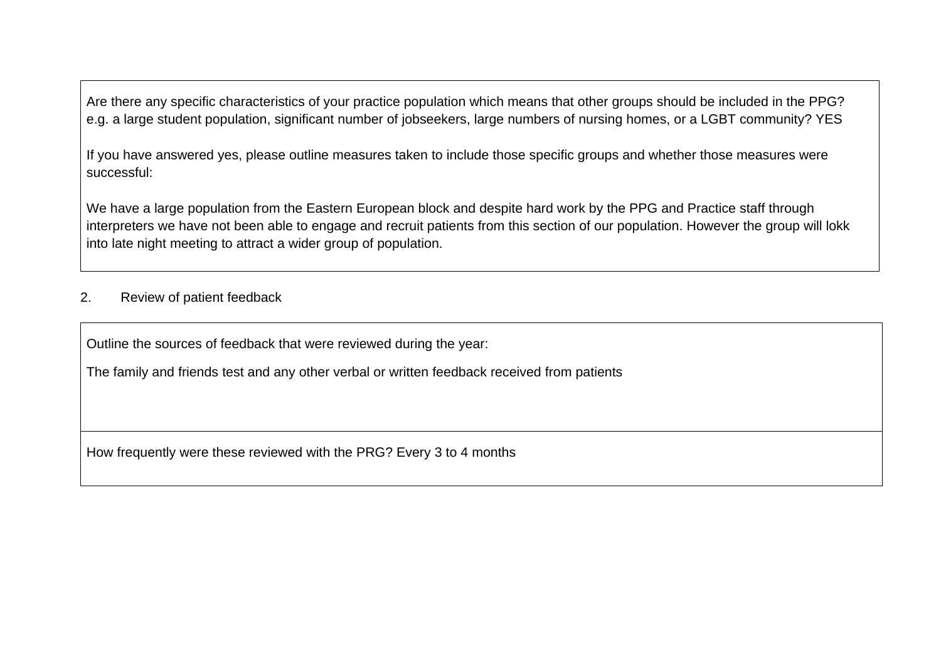Are there any specific characteristics of your practice population which means that other groups should be included in the PPG? e.g. a large student population, significant number of jobseekers, large numbers of nursing homes, or a LGBT community? YES

If you have answered yes, please outline measures taken to include those specific groups and whether those measures were successful:

We have a large population from the Eastern European block and despite hard work by the PPG and Practice staff through interpreters we have not been able to engage and recruit patients from this section of our population. However the group will lokk into late night meeting to attract a wider group of population.

## 2. Review of patient feedback

Outline the sources of feedback that were reviewed during the year:

The family and friends test and any other verbal or written feedback received from patients

How frequently were these reviewed with the PRG? Every 3 to 4 months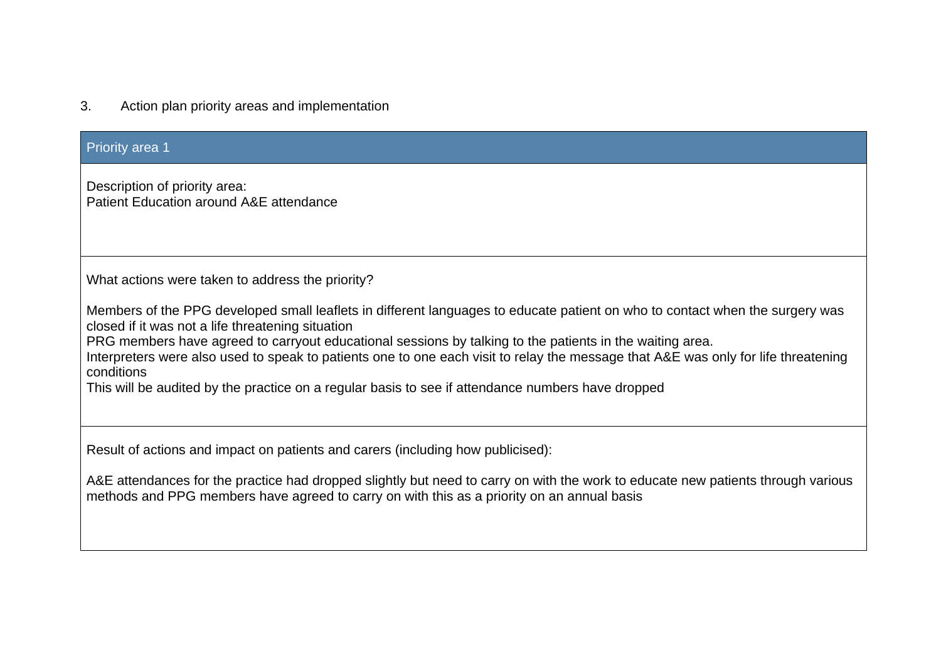# 3. Action plan priority areas and implementation

| <b>Priority area 1</b>                                                                                                                                                                                                                                                                                                                                                                                                                                                                                                                                 |
|--------------------------------------------------------------------------------------------------------------------------------------------------------------------------------------------------------------------------------------------------------------------------------------------------------------------------------------------------------------------------------------------------------------------------------------------------------------------------------------------------------------------------------------------------------|
| Description of priority area:<br>Patient Education around A&E attendance                                                                                                                                                                                                                                                                                                                                                                                                                                                                               |
| What actions were taken to address the priority?                                                                                                                                                                                                                                                                                                                                                                                                                                                                                                       |
| Members of the PPG developed small leaflets in different languages to educate patient on who to contact when the surgery was<br>closed if it was not a life threatening situation<br>PRG members have agreed to carryout educational sessions by talking to the patients in the waiting area.<br>Interpreters were also used to speak to patients one to one each visit to relay the message that A&E was only for life threatening<br>conditions<br>This will be audited by the practice on a regular basis to see if attendance numbers have dropped |
| Result of actions and impact on patients and carers (including how publicised):                                                                                                                                                                                                                                                                                                                                                                                                                                                                        |
| A&E attendances for the practice had dropped slightly but need to carry on with the work to educate new patients through various<br>methods and PPG members have agreed to carry on with this as a priority on an annual basis                                                                                                                                                                                                                                                                                                                         |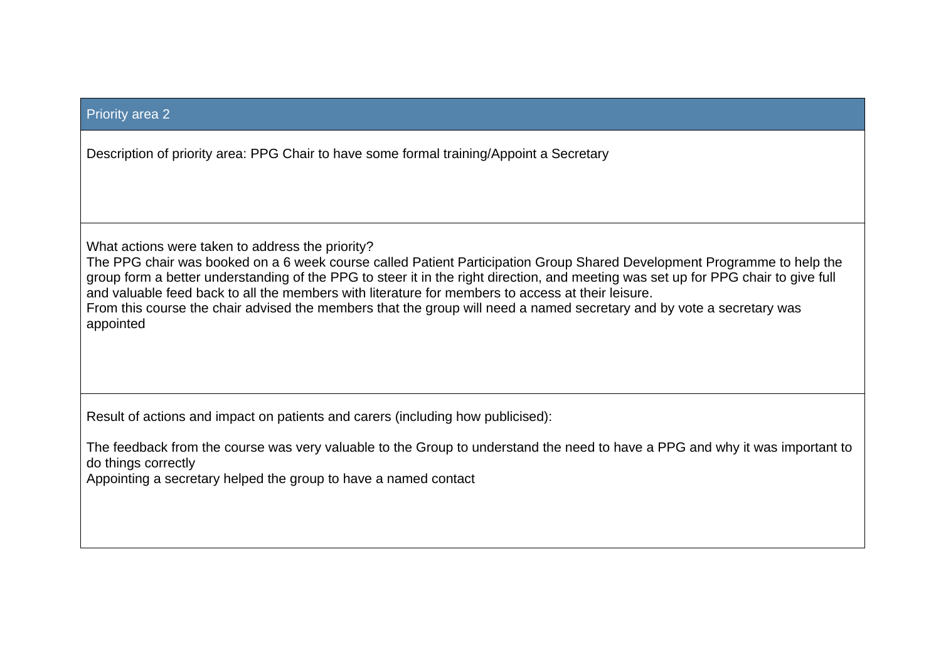#### Priority area 2

Description of priority area: PPG Chair to have some formal training/Appoint a Secretary

What actions were taken to address the priority?

The PPG chair was booked on a 6 week course called Patient Participation Group Shared Development Programme to help the group form a better understanding of the PPG to steer it in the right direction, and meeting was set up for PPG chair to give full and valuable feed back to all the members with literature for members to access at their leisure. From this course the chair advised the members that the group will need a named secretary and by vote a secretary was appointed

Result of actions and impact on patients and carers (including how publicised):

The feedback from the course was very valuable to the Group to understand the need to have a PPG and why it was important to do things correctly

Appointing a secretary helped the group to have a named contact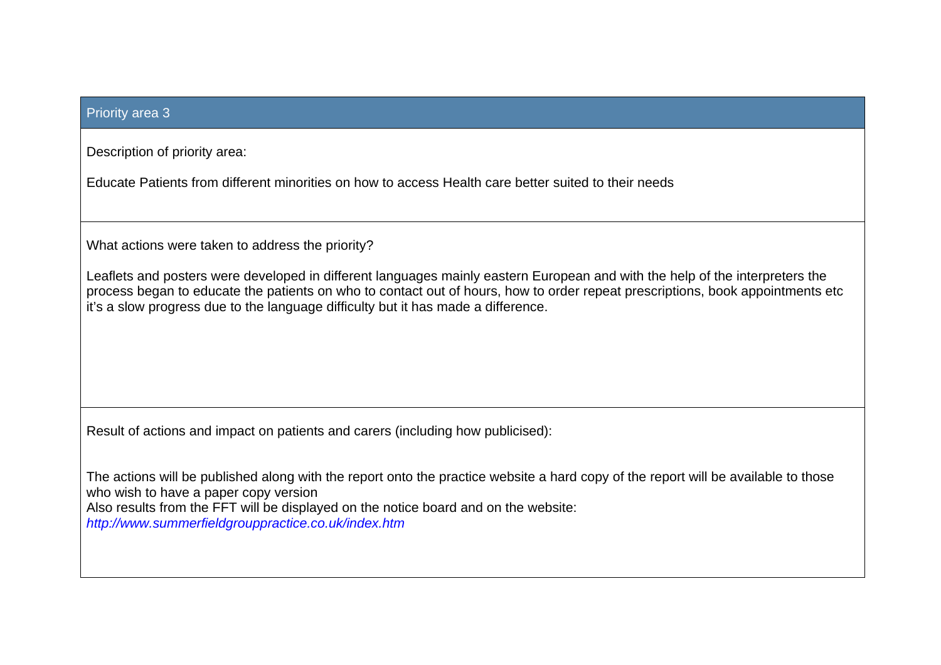#### Priority area 3

Description of priority area:

Educate Patients from different minorities on how to access Health care better suited to their needs

What actions were taken to address the priority?

Leaflets and posters were developed in different languages mainly eastern European and with the help of the interpreters the process began to educate the patients on who to contact out of hours, how to order repeat prescriptions, book appointments etc it's a slow progress due to the language difficulty but it has made a difference.

Result of actions and impact on patients and carers (including how publicised):

The actions will be published along with the report onto the practice website a hard copy of the report will be available to those who wish to have a paper copy version Also results from the FFT will be displayed on the notice board and on the website: *http://www.summerfieldgrouppractice.co.uk/index.htm*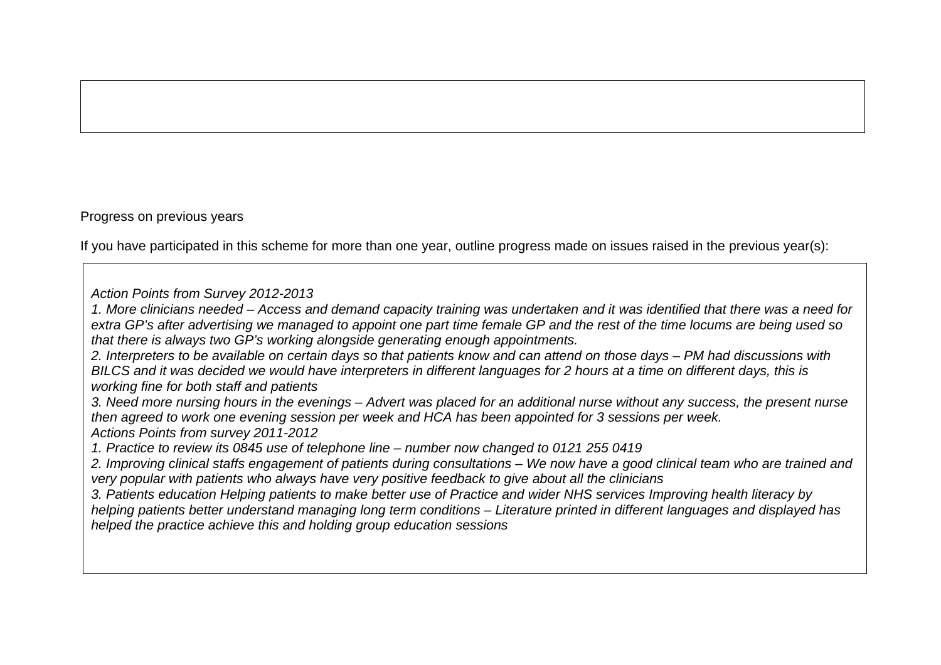### Progress on previous years

If you have participated in this scheme for more than one year, outline progress made on issues raised in the previous year(s):

*Action Points from Survey 2012-2013* 

*1. More clinicians needed – Access and demand capacity training was undertaken and it was identified that there was a need for extra GP's after advertising we managed to appoint one part time female GP and the rest of the time locums are being used so that there is always two GP's working alongside generating enough appointments.* 

*2. Interpreters to be available on certain days so that patients know and can attend on those days – PM had discussions with BILCS and it was decided we would have interpreters in different languages for 2 hours at a time on different days, this is working fine for both staff and patients* 

*3. Need more nursing hours in the evenings – Advert was placed for an additional nurse without any success, the present nurse then agreed to work one evening session per week and HCA has been appointed for 3 sessions per week. Actions Points from survey 2011-2012* 

*1. Practice to review its 0845 use of telephone line – number now changed to 0121 255 0419* 

*2. Improving clinical staffs engagement of patients during consultations – We now have a good clinical team who are trained and very popular with patients who always have very positive feedback to give about all the clinicians* 

*3. Patients education Helping patients to make better use of Practice and wider NHS services Improving health literacy by helping patients better understand managing long term conditions – Literature printed in different languages and displayed has helped the practice achieve this and holding group education sessions*